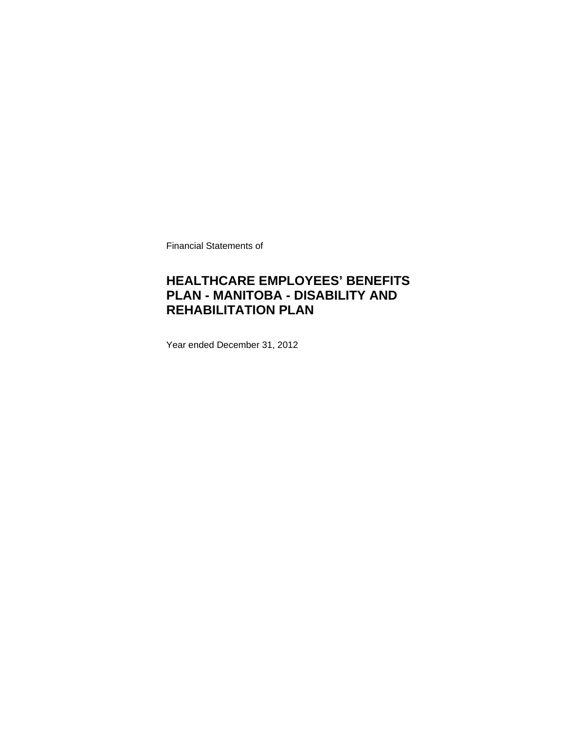Financial Statements of

## **HEALTHCARE EMPLOYEES' BENEFITS PLAN - MANITOBA - DISABILITY AND REHABILITATION PLAN**

Year ended December 31, 2012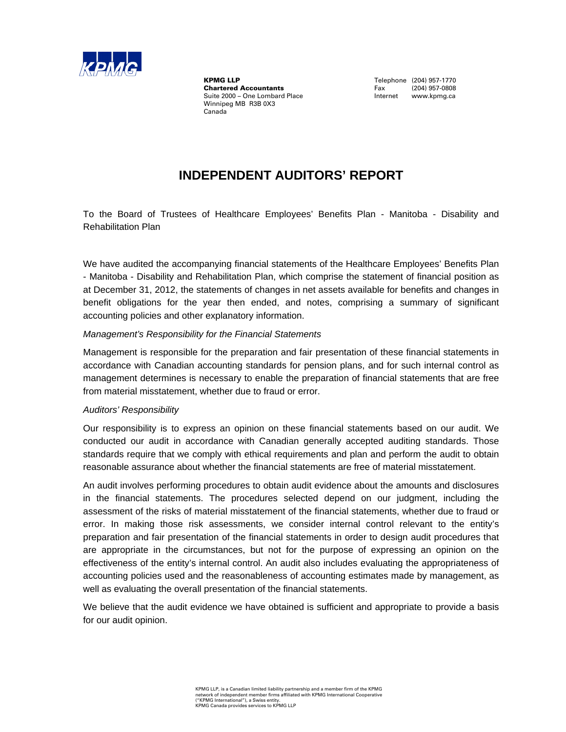

**KPMG LLP**<br> **Chartered Accountants**<br> **Chartered Accountants**<br>
Tax (204) 957-0808 **Chartered Accountants**<br>Suite 2000 - One Lombard Place Winnipeg MB R3B 0X3 Canada

Internet www.kpmg.ca

## **INDEPENDENT AUDITORS' REPORT**

To the Board of Trustees of Healthcare Employees' Benefits Plan - Manitoba - Disability and Rehabilitation Plan

We have audited the accompanying financial statements of the Healthcare Employees' Benefits Plan - Manitoba - Disability and Rehabilitation Plan, which comprise the statement of financial position as at December 31, 2012, the statements of changes in net assets available for benefits and changes in benefit obligations for the year then ended, and notes, comprising a summary of significant accounting policies and other explanatory information.

#### *Management's Responsibility for the Financial Statements*

Management is responsible for the preparation and fair presentation of these financial statements in accordance with Canadian accounting standards for pension plans, and for such internal control as management determines is necessary to enable the preparation of financial statements that are free from material misstatement, whether due to fraud or error.

## *Auditors' Responsibility*

Our responsibility is to express an opinion on these financial statements based on our audit. We conducted our audit in accordance with Canadian generally accepted auditing standards. Those standards require that we comply with ethical requirements and plan and perform the audit to obtain reasonable assurance about whether the financial statements are free of material misstatement.

An audit involves performing procedures to obtain audit evidence about the amounts and disclosures in the financial statements. The procedures selected depend on our judgment, including the assessment of the risks of material misstatement of the financial statements, whether due to fraud or error. In making those risk assessments, we consider internal control relevant to the entity's preparation and fair presentation of the financial statements in order to design audit procedures that are appropriate in the circumstances, but not for the purpose of expressing an opinion on the effectiveness of the entity's internal control. An audit also includes evaluating the appropriateness of accounting policies used and the reasonableness of accounting estimates made by management, as well as evaluating the overall presentation of the financial statements.

We believe that the audit evidence we have obtained is sufficient and appropriate to provide a basis for our audit opinion.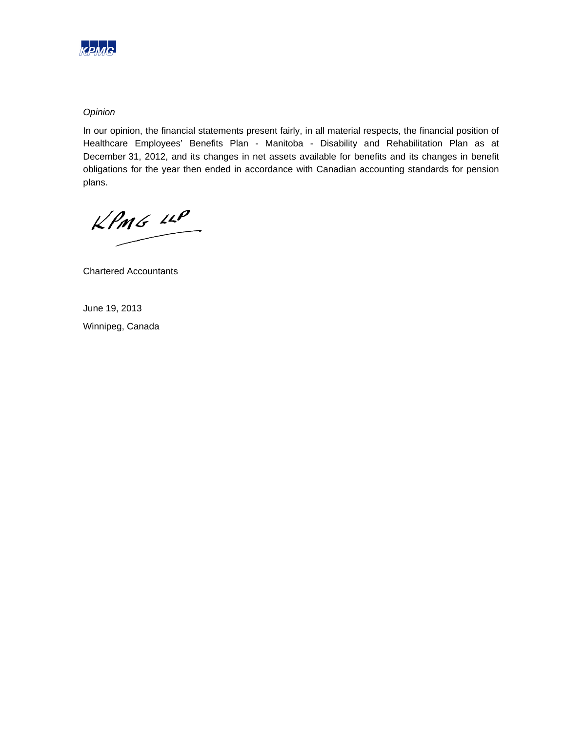

## *Opinion*

In our opinion, the financial statements present fairly, in all material respects, the financial position of Healthcare Employees' Benefits Plan - Manitoba - Disability and Rehabilitation Plan as at December 31, 2012, and its changes in net assets available for benefits and its changes in benefit obligations for the year then ended in accordance with Canadian accounting standards for pension plans.

 $KPMG$  11P

Chartered Accountants

June 19, 2013

Winnipeg, Canada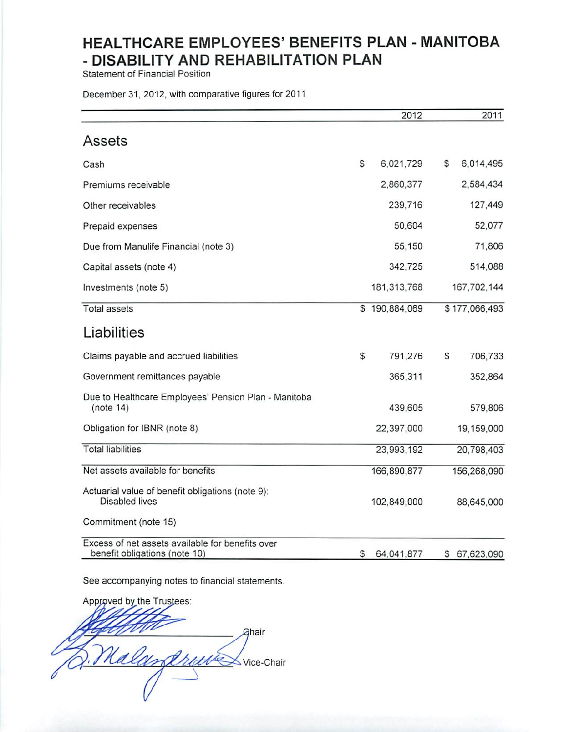Statement of Financial Position

December 31, 2012, with comparative figures for 2011

|                                                                                   |    | 2012          |    | 2011          |
|-----------------------------------------------------------------------------------|----|---------------|----|---------------|
| Assets                                                                            |    |               |    |               |
| Cash                                                                              | S  | 6,021,729     | \$ | 6,014,495     |
| Premiums receivable                                                               |    | 2,860,377     |    | 2,584,434     |
| Other receivables                                                                 |    | 239,716       |    | 127,449       |
| Prepaid expenses                                                                  |    | 50,604        |    | 52,077        |
| Due from Manulife Financial (note 3)                                              |    | 55,150        |    | 71,806        |
| Capital assets (note 4)                                                           |    | 342,725       |    | 514,088       |
| Investments (note 5)                                                              |    | 181, 313, 768 |    | 167,702,144   |
| <b>Total assets</b>                                                               |    | \$190,884,069 |    | \$177,066,493 |
| Liabilities                                                                       |    |               |    |               |
| Claims payable and accrued liabilities                                            | \$ | 791,276       | S  | 706,733       |
| Government remittances payable                                                    |    | 365,311       |    | 352,864       |
| Due to Healthcare Employees' Pension Plan - Manitoba<br>(note 14)                 |    | 439,605       |    | 579,806       |
| Obligation for IBNR (note 8)                                                      |    | 22,397,000    |    | 19,159,000    |
| <b>Total liabilities</b>                                                          |    | 23,993,192    |    | 20,798,403    |
| Net assets available for benefits                                                 |    | 166,890,877   |    | 156,268,090   |
| Actuarial value of benefit obligations (note 9):<br>Disabled lives                |    | 102,849,000   |    | 88,645,000    |
| Commitment (note 15)                                                              |    |               |    |               |
| Excess of net assets available for benefits over<br>benefit obligations (note 10) | S  | 64,041,877    | s  | 67,623,090    |

See accompanying notes to financial statements.

Approved by the Trustees: Ghair Malandri Vice-Chair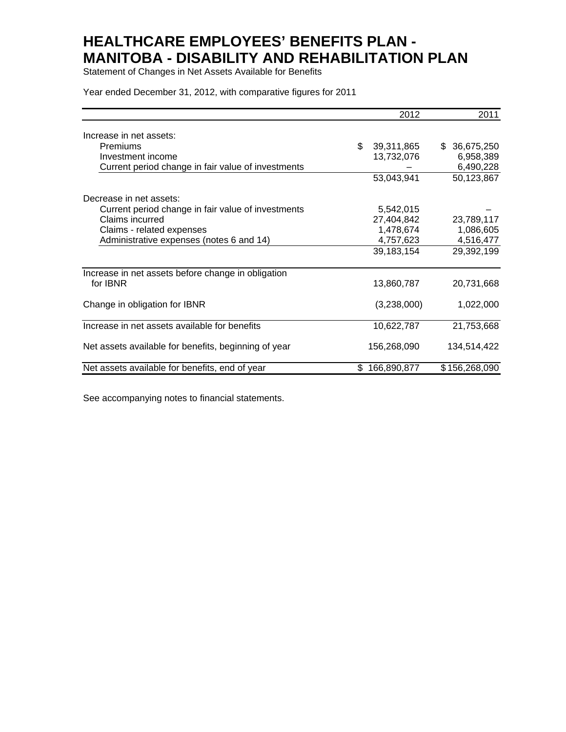Statement of Changes in Net Assets Available for Benefits

Year ended December 31, 2012, with comparative figures for 2011

|                                                      | 2012              | 2011              |
|------------------------------------------------------|-------------------|-------------------|
| Increase in net assets:                              |                   |                   |
| Premiums                                             | \$<br>39,311,865  | 36,675,250<br>\$. |
| Investment income                                    | 13,732,076        | 6,958,389         |
| Current period change in fair value of investments   |                   | 6,490,228         |
|                                                      | 53,043,941        | 50,123,867        |
| Decrease in net assets:                              |                   |                   |
| Current period change in fair value of investments   | 5,542,015         |                   |
| Claims incurred                                      | 27,404,842        | 23,789,117        |
| Claims - related expenses                            | 1,478,674         | 1,086,605         |
| Administrative expenses (notes 6 and 14)             | 4,757,623         | 4,516,477         |
|                                                      | 39,183,154        | 29,392,199        |
| Increase in net assets before change in obligation   |                   |                   |
| for IBNR                                             | 13,860,787        | 20,731,668        |
| Change in obligation for IBNR                        | (3,238,000)       | 1,022,000         |
| Increase in net assets available for benefits        | 10,622,787        | 21,753,668        |
| Net assets available for benefits, beginning of year | 156,268,090       | 134,514,422       |
| Net assets available for benefits, end of year       | \$<br>166,890,877 | \$156,268,090     |

See accompanying notes to financial statements.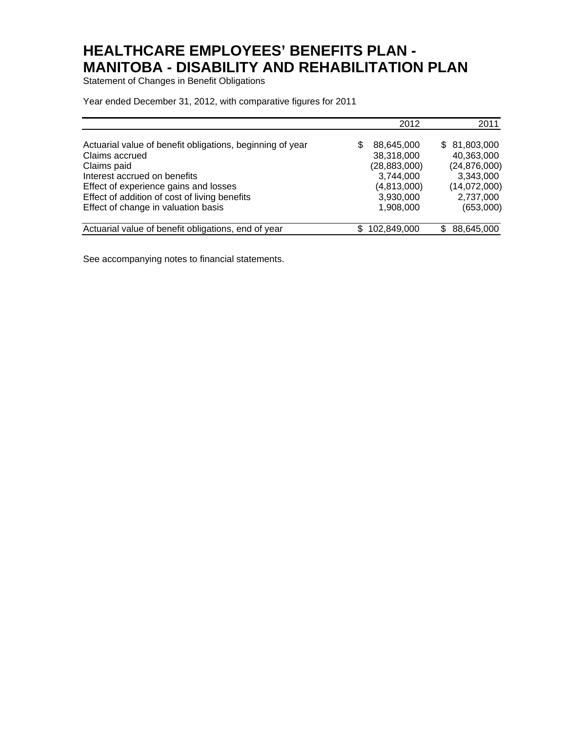Statement of Changes in Benefit Obligations

Year ended December 31, 2012, with comparative figures for 2011

|                                                                             |   | 2012                     | 2011                       |
|-----------------------------------------------------------------------------|---|--------------------------|----------------------------|
| Actuarial value of benefit obligations, beginning of year<br>Claims accrued | S | 88,645,000<br>38,318,000 | \$81,803,000<br>40,363,000 |
| Claims paid                                                                 |   | (28, 883, 000)           | (24, 876, 000)             |
| Interest accrued on benefits                                                |   | 3,744,000                | 3,343,000                  |
| Effect of experience gains and losses                                       |   | (4,813,000)              | (14,072,000)               |
| Effect of addition of cost of living benefits                               |   | 3,930,000                | 2,737,000                  |
| Effect of change in valuation basis                                         |   | 1,908,000                | (653,000)                  |
|                                                                             |   |                          |                            |
| Actuarial value of benefit obligations, end of year                         |   | 102,849,000              | 88,645,000<br>\$           |

See accompanying notes to financial statements.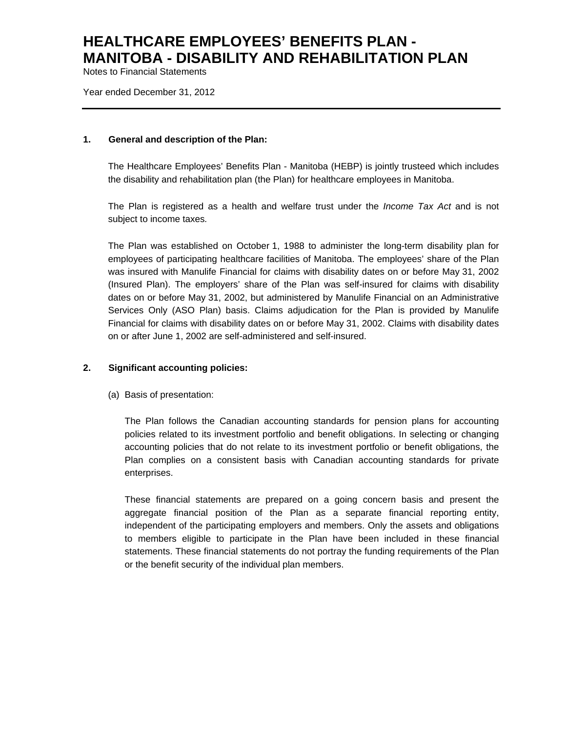Notes to Financial Statements

Year ended December 31, 2012

#### **1. General and description of the Plan:**

The Healthcare Employees' Benefits Plan - Manitoba (HEBP) is jointly trusteed which includes the disability and rehabilitation plan (the Plan) for healthcare employees in Manitoba.

The Plan is registered as a health and welfare trust under the *Income Tax Act* and is not subject to income taxes*.*

The Plan was established on October 1, 1988 to administer the long-term disability plan for employees of participating healthcare facilities of Manitoba. The employees' share of the Plan was insured with Manulife Financial for claims with disability dates on or before May 31, 2002 (Insured Plan). The employers' share of the Plan was self-insured for claims with disability dates on or before May 31, 2002, but administered by Manulife Financial on an Administrative Services Only (ASO Plan) basis. Claims adjudication for the Plan is provided by Manulife Financial for claims with disability dates on or before May 31, 2002. Claims with disability dates on or after June 1, 2002 are self-administered and self-insured.

## **2. Significant accounting policies:**

(a) Basis of presentation:

The Plan follows the Canadian accounting standards for pension plans for accounting policies related to its investment portfolio and benefit obligations. In selecting or changing accounting policies that do not relate to its investment portfolio or benefit obligations, the Plan complies on a consistent basis with Canadian accounting standards for private enterprises.

These financial statements are prepared on a going concern basis and present the aggregate financial position of the Plan as a separate financial reporting entity, independent of the participating employers and members. Only the assets and obligations to members eligible to participate in the Plan have been included in these financial statements. These financial statements do not portray the funding requirements of the Plan or the benefit security of the individual plan members.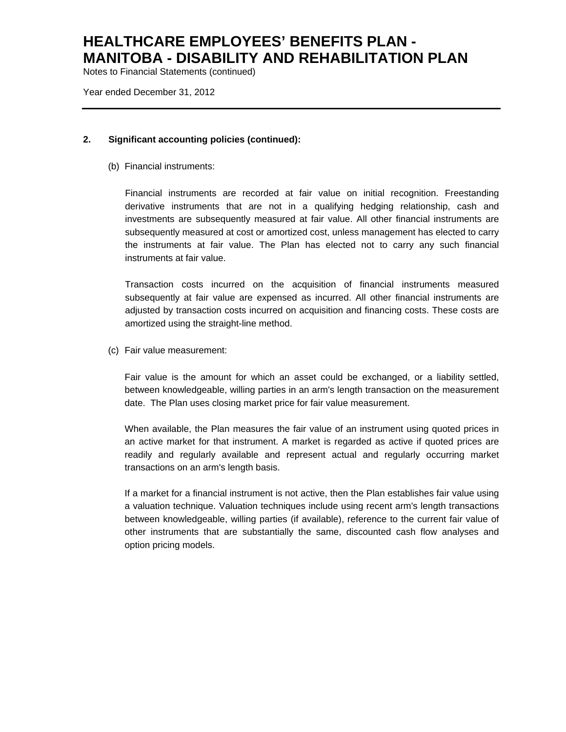Notes to Financial Statements (continued)

Year ended December 31, 2012

## **2. Significant accounting policies (continued):**

(b) Financial instruments:

Financial instruments are recorded at fair value on initial recognition. Freestanding derivative instruments that are not in a qualifying hedging relationship, cash and investments are subsequently measured at fair value. All other financial instruments are subsequently measured at cost or amortized cost, unless management has elected to carry the instruments at fair value. The Plan has elected not to carry any such financial instruments at fair value.

Transaction costs incurred on the acquisition of financial instruments measured subsequently at fair value are expensed as incurred. All other financial instruments are adjusted by transaction costs incurred on acquisition and financing costs. These costs are amortized using the straight-line method.

(c) Fair value measurement:

Fair value is the amount for which an asset could be exchanged, or a liability settled, between knowledgeable, willing parties in an arm's length transaction on the measurement date. The Plan uses closing market price for fair value measurement.

When available, the Plan measures the fair value of an instrument using quoted prices in an active market for that instrument. A market is regarded as active if quoted prices are readily and regularly available and represent actual and regularly occurring market transactions on an arm's length basis.

If a market for a financial instrument is not active, then the Plan establishes fair value using a valuation technique. Valuation techniques include using recent arm's length transactions between knowledgeable, willing parties (if available), reference to the current fair value of other instruments that are substantially the same, discounted cash flow analyses and option pricing models.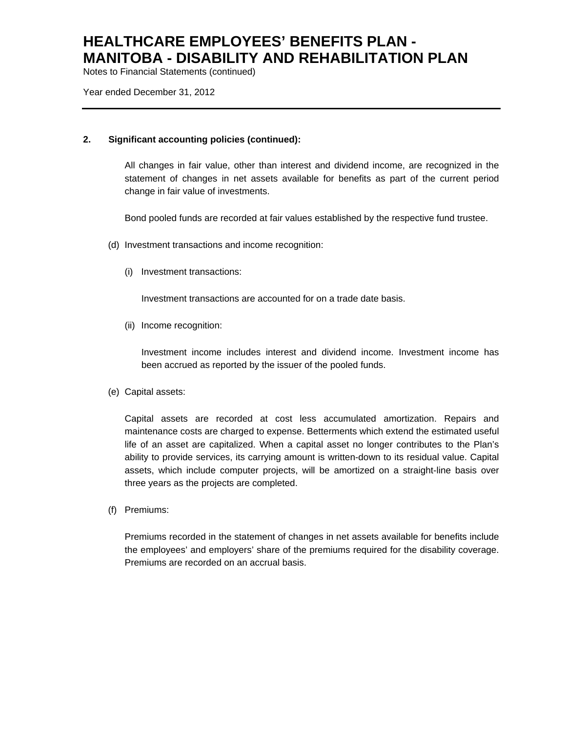Notes to Financial Statements (continued)

Year ended December 31, 2012

## **2. Significant accounting policies (continued):**

All changes in fair value, other than interest and dividend income, are recognized in the statement of changes in net assets available for benefits as part of the current period change in fair value of investments.

Bond pooled funds are recorded at fair values established by the respective fund trustee.

- (d) Investment transactions and income recognition:
	- (i) Investment transactions:

Investment transactions are accounted for on a trade date basis.

(ii) Income recognition:

Investment income includes interest and dividend income. Investment income has been accrued as reported by the issuer of the pooled funds.

(e) Capital assets:

Capital assets are recorded at cost less accumulated amortization. Repairs and maintenance costs are charged to expense. Betterments which extend the estimated useful life of an asset are capitalized. When a capital asset no longer contributes to the Plan's ability to provide services, its carrying amount is written-down to its residual value. Capital assets, which include computer projects, will be amortized on a straight-line basis over three years as the projects are completed.

(f) Premiums:

Premiums recorded in the statement of changes in net assets available for benefits include the employees' and employers' share of the premiums required for the disability coverage. Premiums are recorded on an accrual basis.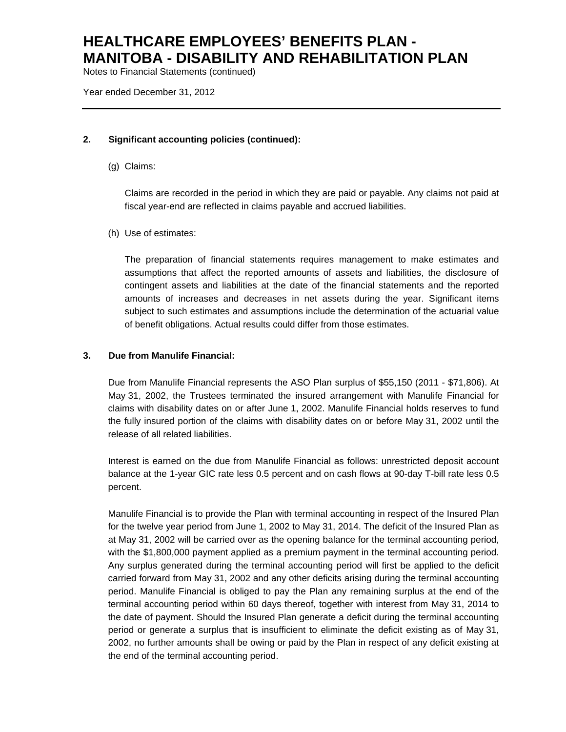Notes to Financial Statements (continued)

Year ended December 31, 2012

## **2. Significant accounting policies (continued):**

(g) Claims:

Claims are recorded in the period in which they are paid or payable. Any claims not paid at fiscal year-end are reflected in claims payable and accrued liabilities.

(h) Use of estimates:

The preparation of financial statements requires management to make estimates and assumptions that affect the reported amounts of assets and liabilities, the disclosure of contingent assets and liabilities at the date of the financial statements and the reported amounts of increases and decreases in net assets during the year. Significant items subject to such estimates and assumptions include the determination of the actuarial value of benefit obligations. Actual results could differ from those estimates.

## **3. Due from Manulife Financial:**

Due from Manulife Financial represents the ASO Plan surplus of \$55,150 (2011 - \$71,806). At May 31, 2002, the Trustees terminated the insured arrangement with Manulife Financial for claims with disability dates on or after June 1, 2002. Manulife Financial holds reserves to fund the fully insured portion of the claims with disability dates on or before May 31, 2002 until the release of all related liabilities.

Interest is earned on the due from Manulife Financial as follows: unrestricted deposit account balance at the 1-year GIC rate less 0.5 percent and on cash flows at 90-day T-bill rate less 0.5 percent.

Manulife Financial is to provide the Plan with terminal accounting in respect of the Insured Plan for the twelve year period from June 1, 2002 to May 31, 2014. The deficit of the Insured Plan as at May 31, 2002 will be carried over as the opening balance for the terminal accounting period, with the \$1,800,000 payment applied as a premium payment in the terminal accounting period. Any surplus generated during the terminal accounting period will first be applied to the deficit carried forward from May 31, 2002 and any other deficits arising during the terminal accounting period. Manulife Financial is obliged to pay the Plan any remaining surplus at the end of the terminal accounting period within 60 days thereof, together with interest from May 31, 2014 to the date of payment. Should the Insured Plan generate a deficit during the terminal accounting period or generate a surplus that is insufficient to eliminate the deficit existing as of May 31, 2002, no further amounts shall be owing or paid by the Plan in respect of any deficit existing at the end of the terminal accounting period.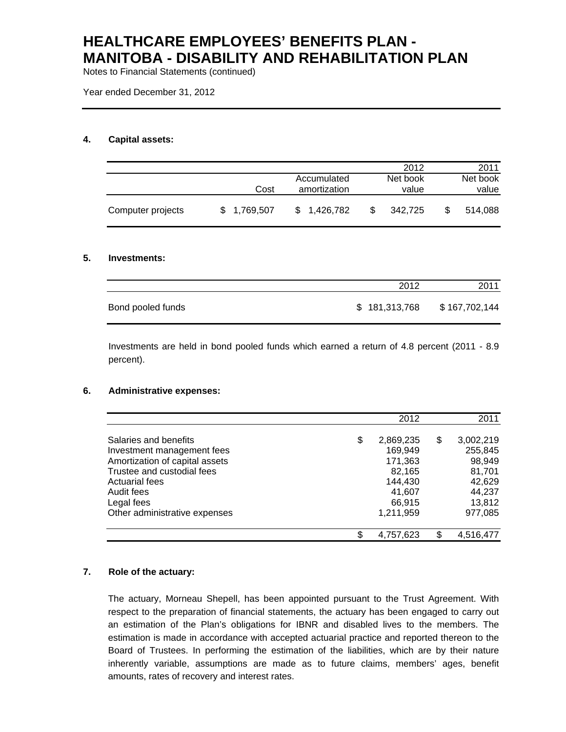Notes to Financial Statements (continued)

Year ended December 31, 2012

## **4. Capital assets:**

|                   |             |                                     | 2012              | 2011              |
|-------------------|-------------|-------------------------------------|-------------------|-------------------|
|                   |             | Accumulated<br>Cost<br>amortization | Net book<br>value | Net book<br>value |
| Computer projects | \$1,769,507 | \$1,426,782                         | \$<br>342.725     | 514.088           |

#### **5. Investments:**

|                   | 2012          | 2011          |
|-------------------|---------------|---------------|
| Bond pooled funds | \$181,313,768 | \$167,702,144 |

Investments are held in bond pooled funds which earned a return of 4.8 percent (2011 - 8.9 percent).

#### **6. Administrative expenses:**

|                                | 2012            | 2011            |
|--------------------------------|-----------------|-----------------|
| Salaries and benefits          | \$<br>2,869,235 | \$<br>3,002,219 |
| Investment management fees     | 169,949         | 255,845         |
| Amortization of capital assets | 171,363         | 98,949          |
| Trustee and custodial fees     | 82,165          | 81,701          |
| <b>Actuarial fees</b>          | 144,430         | 42,629          |
| Audit fees                     | 41,607          | 44,237          |
| Legal fees                     | 66,915          | 13,812          |
| Other administrative expenses  | 1,211,959       | 977,085         |
|                                | 4,757,623       | 4,516,477       |

## **7. Role of the actuary:**

The actuary, Morneau Shepell, has been appointed pursuant to the Trust Agreement. With respect to the preparation of financial statements, the actuary has been engaged to carry out an estimation of the Plan's obligations for IBNR and disabled lives to the members. The estimation is made in accordance with accepted actuarial practice and reported thereon to the Board of Trustees. In performing the estimation of the liabilities, which are by their nature inherently variable, assumptions are made as to future claims, members' ages, benefit amounts, rates of recovery and interest rates.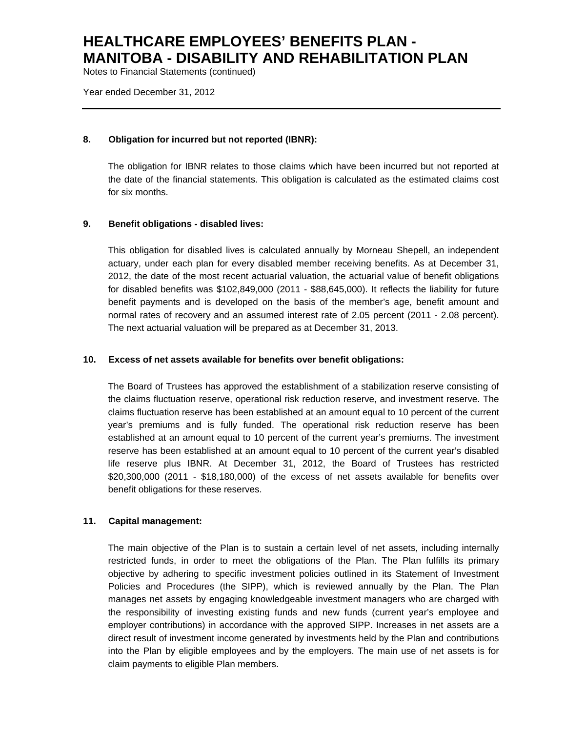Notes to Financial Statements (continued)

Year ended December 31, 2012

## **8. Obligation for incurred but not reported (IBNR):**

The obligation for IBNR relates to those claims which have been incurred but not reported at the date of the financial statements. This obligation is calculated as the estimated claims cost for six months.

## **9. Benefit obligations - disabled lives:**

This obligation for disabled lives is calculated annually by Morneau Shepell, an independent actuary, under each plan for every disabled member receiving benefits. As at December 31, 2012, the date of the most recent actuarial valuation, the actuarial value of benefit obligations for disabled benefits was \$102,849,000 (2011 - \$88,645,000). It reflects the liability for future benefit payments and is developed on the basis of the member's age, benefit amount and normal rates of recovery and an assumed interest rate of 2.05 percent (2011 - 2.08 percent). The next actuarial valuation will be prepared as at December 31, 2013.

## **10. Excess of net assets available for benefits over benefit obligations:**

The Board of Trustees has approved the establishment of a stabilization reserve consisting of the claims fluctuation reserve, operational risk reduction reserve, and investment reserve. The claims fluctuation reserve has been established at an amount equal to 10 percent of the current year's premiums and is fully funded. The operational risk reduction reserve has been established at an amount equal to 10 percent of the current year's premiums. The investment reserve has been established at an amount equal to 10 percent of the current year's disabled life reserve plus IBNR. At December 31, 2012, the Board of Trustees has restricted \$20,300,000 (2011 - \$18,180,000) of the excess of net assets available for benefits over benefit obligations for these reserves.

## **11. Capital management:**

The main objective of the Plan is to sustain a certain level of net assets, including internally restricted funds, in order to meet the obligations of the Plan. The Plan fulfills its primary objective by adhering to specific investment policies outlined in its Statement of Investment Policies and Procedures (the SIPP), which is reviewed annually by the Plan. The Plan manages net assets by engaging knowledgeable investment managers who are charged with the responsibility of investing existing funds and new funds (current year's employee and employer contributions) in accordance with the approved SIPP. Increases in net assets are a direct result of investment income generated by investments held by the Plan and contributions into the Plan by eligible employees and by the employers. The main use of net assets is for claim payments to eligible Plan members.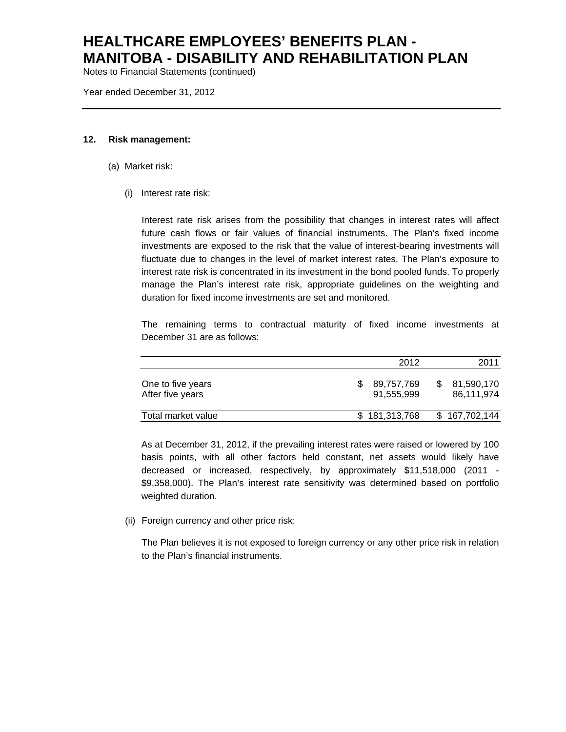Notes to Financial Statements (continued)

Year ended December 31, 2012

#### **12. Risk management:**

- (a) Market risk:
	- (i) Interest rate risk:

Interest rate risk arises from the possibility that changes in interest rates will affect future cash flows or fair values of financial instruments. The Plan's fixed income investments are exposed to the risk that the value of interest-bearing investments will fluctuate due to changes in the level of market interest rates. The Plan's exposure to interest rate risk is concentrated in its investment in the bond pooled funds. To properly manage the Plan's interest rate risk, appropriate guidelines on the weighting and duration for fixed income investments are set and monitored.

The remaining terms to contractual maturity of fixed income investments at December 31 are as follows:

|                                       | 2012                     | 2011                     |
|---------------------------------------|--------------------------|--------------------------|
| One to five years<br>After five years | 89,757,769<br>91.555.999 | 81,590,170<br>86,111,974 |
| Total market value                    | \$181,313,768            | \$167,702,144            |

As at December 31, 2012, if the prevailing interest rates were raised or lowered by 100 basis points, with all other factors held constant, net assets would likely have decreased or increased, respectively, by approximately \$11,518,000 (2011 - \$9,358,000). The Plan's interest rate sensitivity was determined based on portfolio weighted duration.

(ii) Foreign currency and other price risk:

The Plan believes it is not exposed to foreign currency or any other price risk in relation to the Plan's financial instruments.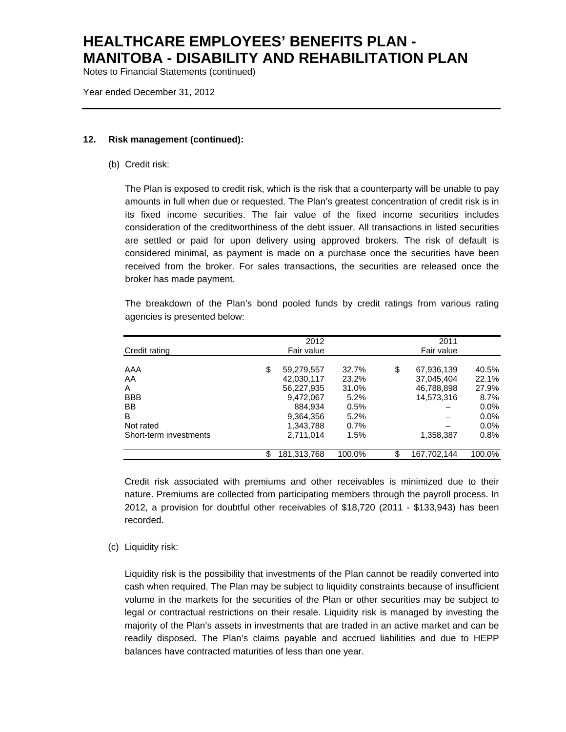Notes to Financial Statements (continued)

Year ended December 31, 2012

#### **12. Risk management (continued):**

(b) Credit risk:

The Plan is exposed to credit risk, which is the risk that a counterparty will be unable to pay amounts in full when due or requested. The Plan's greatest concentration of credit risk is in its fixed income securities. The fair value of the fixed income securities includes consideration of the creditworthiness of the debt issuer. All transactions in listed securities are settled or paid for upon delivery using approved brokers. The risk of default is considered minimal, as payment is made on a purchase once the securities have been received from the broker. For sales transactions, the securities are released once the broker has made payment.

The breakdown of the Plan's bond pooled funds by credit ratings from various rating agencies is presented below:

|                        | 2012              |        | 2011              |         |
|------------------------|-------------------|--------|-------------------|---------|
| Credit rating          | Fair value        |        | Fair value        |         |
|                        |                   |        |                   |         |
| AAA                    | \$<br>59,279,557  | 32.7%  | \$<br>67,936,139  | 40.5%   |
| AA                     | 42,030,117        | 23.2%  | 37,045,404        | 22.1%   |
| $\mathsf{A}$           | 56,227,935        | 31.0%  | 46,788,898        | 27.9%   |
| <b>BBB</b>             | 9,472,067         | 5.2%   | 14,573,316        | 8.7%    |
| <b>BB</b>              | 884,934           | 0.5%   |                   | $0.0\%$ |
| B                      | 9,364,356         | 5.2%   |                   | $0.0\%$ |
| Not rated              | 1,343,788         | 0.7%   |                   | $0.0\%$ |
| Short-term investments | 2.711.014         | 1.5%   | 1,358,387         | 0.8%    |
|                        | \$<br>181,313,768 | 100.0% | \$<br>167,702,144 | 100.0%  |

Credit risk associated with premiums and other receivables is minimized due to their nature. Premiums are collected from participating members through the payroll process. In 2012, a provision for doubtful other receivables of \$18,720 (2011 - \$133,943) has been recorded.

## (c) Liquidity risk:

Liquidity risk is the possibility that investments of the Plan cannot be readily converted into cash when required. The Plan may be subject to liquidity constraints because of insufficient volume in the markets for the securities of the Plan or other securities may be subject to legal or contractual restrictions on their resale. Liquidity risk is managed by investing the majority of the Plan's assets in investments that are traded in an active market and can be readily disposed. The Plan's claims payable and accrued liabilities and due to HEPP balances have contracted maturities of less than one year.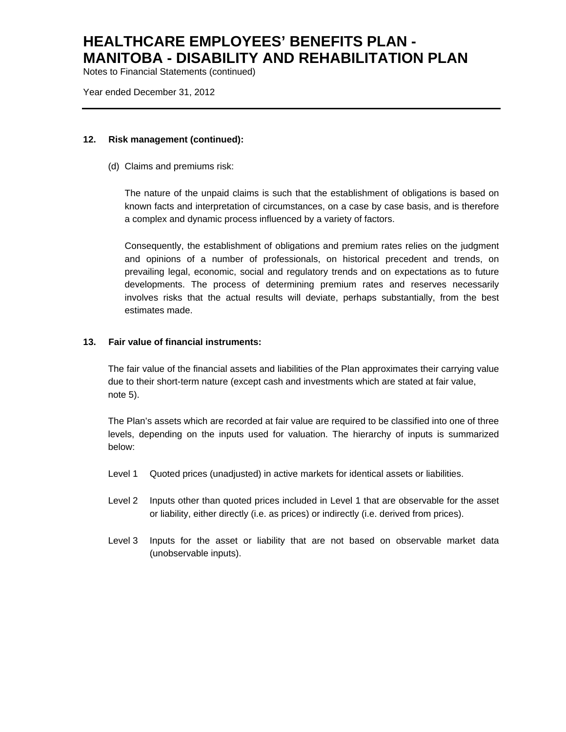Notes to Financial Statements (continued)

Year ended December 31, 2012

### **12. Risk management (continued):**

(d) Claims and premiums risk:

The nature of the unpaid claims is such that the establishment of obligations is based on known facts and interpretation of circumstances, on a case by case basis, and is therefore a complex and dynamic process influenced by a variety of factors.

Consequently, the establishment of obligations and premium rates relies on the judgment and opinions of a number of professionals, on historical precedent and trends, on prevailing legal, economic, social and regulatory trends and on expectations as to future developments. The process of determining premium rates and reserves necessarily involves risks that the actual results will deviate, perhaps substantially, from the best estimates made.

## **13. Fair value of financial instruments:**

The fair value of the financial assets and liabilities of the Plan approximates their carrying value due to their short-term nature (except cash and investments which are stated at fair value, note 5).

The Plan's assets which are recorded at fair value are required to be classified into one of three levels, depending on the inputs used for valuation. The hierarchy of inputs is summarized below:

- Level 1 Quoted prices (unadjusted) in active markets for identical assets or liabilities.
- Level 2 Inputs other than quoted prices included in Level 1 that are observable for the asset or liability, either directly (i.e. as prices) or indirectly (i.e. derived from prices).
- Level 3 Inputs for the asset or liability that are not based on observable market data (unobservable inputs).